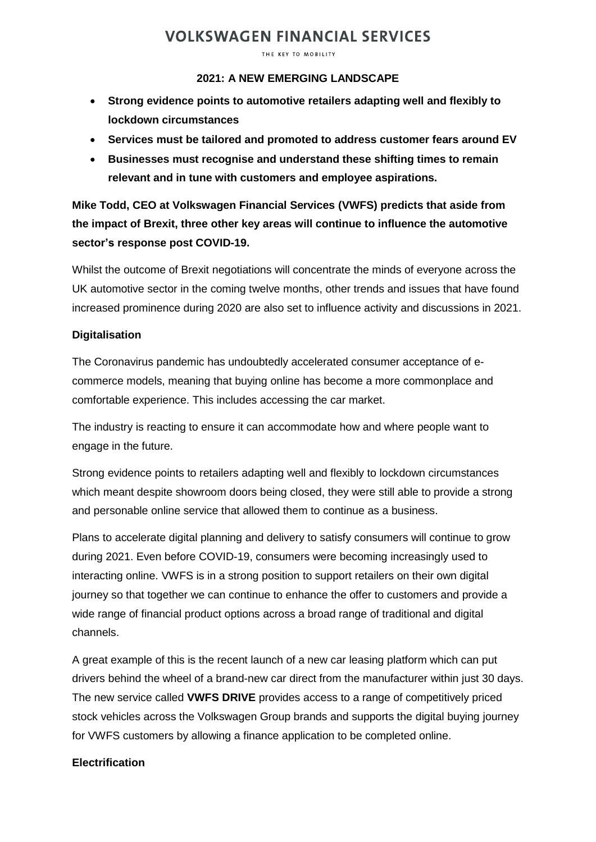# **VOLKSWAGEN FINANCIAL SERVICES**

THE KEY TO MOBILITY

### **2021: A NEW EMERGING LANDSCAPE**

- **Strong evidence points to automotive retailers adapting well and flexibly to lockdown circumstances**
- **Services must be tailored and promoted to address customer fears around EV**
- **Businesses must recognise and understand these shifting times to remain relevant and in tune with customers and employee aspirations.**

## **Mike Todd, CEO at Volkswagen Financial Services (VWFS) predicts that aside from the impact of Brexit, three other key areas will continue to influence the automotive sector's response post COVID-19.**

Whilst the outcome of Brexit negotiations will concentrate the minds of everyone across the UK automotive sector in the coming twelve months, other trends and issues that have found increased prominence during 2020 are also set to influence activity and discussions in 2021.

### **Digitalisation**

The Coronavirus pandemic has undoubtedly accelerated consumer acceptance of ecommerce models, meaning that buying online has become a more commonplace and comfortable experience. This includes accessing the car market.

The industry is reacting to ensure it can accommodate how and where people want to engage in the future.

Strong evidence points to retailers adapting well and flexibly to lockdown circumstances which meant despite showroom doors being closed, they were still able to provide a strong and personable online service that allowed them to continue as a business.

Plans to accelerate digital planning and delivery to satisfy consumers will continue to grow during 2021. Even before COVID-19, consumers were becoming increasingly used to interacting online. VWFS is in a strong position to support retailers on their own digital journey so that together we can continue to enhance the offer to customers and provide a wide range of financial product options across a broad range of traditional and digital channels.

A great example of this is the recent launch of a new car leasing platform which can put drivers behind the wheel of a brand-new car direct from the manufacturer within just 30 days. The new service called **VWFS DRIVE** provides access to a range of competitively priced stock vehicles across the Volkswagen Group brands and supports the digital buying journey for VWFS customers by allowing a finance application to be completed online.

### **Electrification**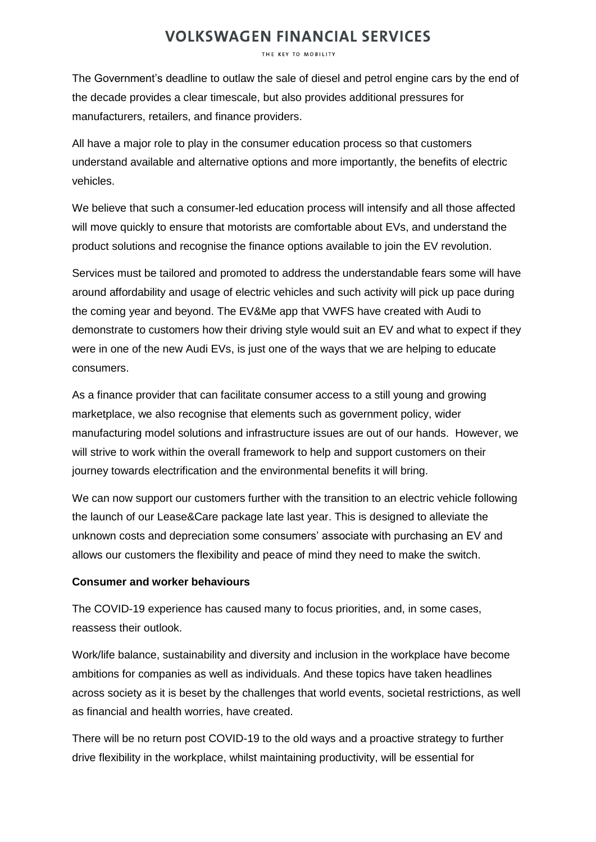## **VOLKSWAGEN FINANCIAL SERVICES**

THE KEY TO MOBILITY

The Government's deadline to outlaw the sale of diesel and petrol engine cars by the end of the decade provides a clear timescale, but also provides additional pressures for manufacturers, retailers, and finance providers.

All have a major role to play in the consumer education process so that customers understand available and alternative options and more importantly, the benefits of electric vehicles.

We believe that such a consumer-led education process will intensify and all those affected will move quickly to ensure that motorists are comfortable about EVs, and understand the product solutions and recognise the finance options available to join the EV revolution.

Services must be tailored and promoted to address the understandable fears some will have around affordability and usage of electric vehicles and such activity will pick up pace during the coming year and beyond. The EV&Me app that VWFS have created with Audi to demonstrate to customers how their driving style would suit an EV and what to expect if they were in one of the new Audi EVs, is just one of the ways that we are helping to educate consumers.

As a finance provider that can facilitate consumer access to a still young and growing marketplace, we also recognise that elements such as government policy, wider manufacturing model solutions and infrastructure issues are out of our hands. However, we will strive to work within the overall framework to help and support customers on their journey towards electrification and the environmental benefits it will bring.

We can now support our customers further with the transition to an electric vehicle following the launch of our Lease&Care package late last year. This is designed to alleviate the unknown costs and depreciation some consumers' associate with purchasing an EV and allows our customers the flexibility and peace of mind they need to make the switch.

### **Consumer and worker behaviours**

The COVID-19 experience has caused many to focus priorities, and, in some cases, reassess their outlook.

Work/life balance, sustainability and diversity and inclusion in the workplace have become ambitions for companies as well as individuals. And these topics have taken headlines across society as it is beset by the challenges that world events, societal restrictions, as well as financial and health worries, have created.

There will be no return post COVID-19 to the old ways and a proactive strategy to further drive flexibility in the workplace, whilst maintaining productivity, will be essential for